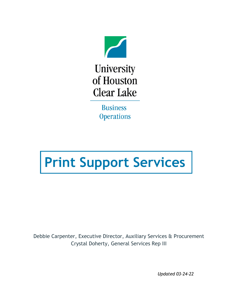

**Business Operations** 

# **Print Support Services**

Debbie Carpenter, Executive Director, Auxiliary Services & Procurement Crystal Doherty, General Services Rep III

*Updated 03-24-22*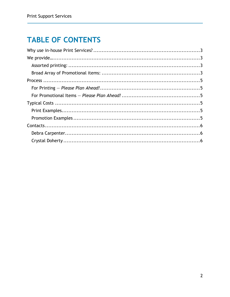## **TABLE OF CONTENTS**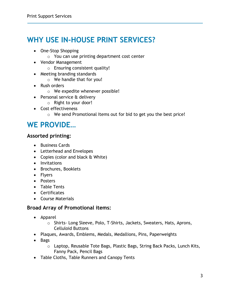## <span id="page-2-0"></span>**WHY USE IN-HOUSE PRINT SERVICES?**

- One-Stop Shopping
	- o You can use printing department cost center
- Vendor Management
	- o Ensuring consistent quality!
- Meeting branding standards
	- o We handle that for you!
- Rush orders
	- o We expedite whenever possible!
- Personal service & delivery
	- o Right to your door!
- Cost effectiveness
	- o We send Promotional Items out for bid to get you the best price!

### <span id="page-2-1"></span>**WE PROVIDE…**

- <span id="page-2-2"></span>**Assorted printing:**
	- Business Cards
	- Letterhead and Envelopes
	- Copies (color and black & White)
	- Invitations
	- Brochures, Booklets
	- Flyers
	- Posters
	- Table Tents
	- Certificates
	- Course Materials

#### <span id="page-2-3"></span>**Broad Array of Promotional items:**

- Apparel
	- o Shirts- Long Sleeve, Polo, T-Shirts, Jackets, Sweaters, Hats, Aprons, Celluloid Buttons
- Plaques, Awards, Emblems, Medals, Medallions, Pins, Paperweights
- Bags
	- o Laptop, Reusable Tote Bags, Plastic Bags, String Back Packs, Lunch Kits, Fanny Pack, Pencil Bags
- Table Cloths, Table Runners and Canopy Tents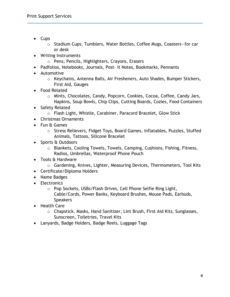- Cups
	- o Stadium Cups, Tumblers, Water Bottles, Coffee Mugs, Coasters—for car or desk
- Writing Instruments
	- o Pens, Pencils, Highlighters, Crayons, Erasers
- Padfolios, Notebooks, Journals, Post- It Notes, Bookmarks, Pennants
- Automotive
	- o Keychains, Antenna Balls, Air Fresheners, Auto Shades, Bumper Stickers, First Aid, Gauges
- Food Related
	- o Mints, Chocolates, Candy, Popcorn, Cookies, Cocoa, Coffee, Candy Jars, Napkins, Soup Bowls, Chip Clips, Cutting Boards, Cozies, Food Containers
- Safety Related
	- o Flash Light, Whistle, Carabiner, Paracord Bracelet, Glow Stick
- Christmas Ornaments
- Fun & Games
	- o Stress Relievers, Fidget Toys, Board Games, Inflatables, Puzzles, Stuffed Animals, Tattoos, Silicone Bracelet
- Sports & Outdoors
	- o Blankets, Cooling Towels, Towels, Camping, Cushions, Fishing, Fitness, Radios, Umbrellas, Waterproof Phone Pouch
- Tools & Hardware
	- o Gardening, Knives, Lighter, Measuring Devices, Thermometers, Tool Kits
- Certificate/Diploma Holders
- Name Badges
- Electronics
	- o Pop Sockets, USBs/Flash Drives, Cell Phone Selfie Ring Light, Cable/Cords, Power Banks, Keyboard Brushes, Mouse Pads, Earbuds, **Speakers**
- Health Care
	- o Chapstick, Masks, Hand Sanitizer, Lint Brush, First Aid Kits, Sunglasses, Sunscreen, Toiletries, Travel Kits
- Lanyards, Badge Holders, Badge Reels, Luggage Tags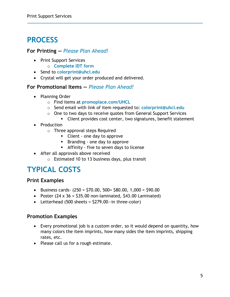## <span id="page-4-0"></span>**PROCESS**

#### <span id="page-4-1"></span>**For Printing —** *Please Plan Ahead!*

- Print Support Services
	- o **[Complete IDT form](https://www.uhcl.edu/about/administrative-offices/general-support-services/copy-center)**
- Send to **[colorprint@uhcl.edu](mailto:colorprint@uhcl.edu)**
- Crystal will get your order produced and delivered.

#### <span id="page-4-2"></span>**For Promotional Items —** *Please Plan Ahead!*

- Planning Order
	- o Find items at **[promoplace.com/UHCL](file://uhcl_Marketing/marketing/_Projects/2022/Business%20Operations/promoplace.com/UHCL)**
	- o Send email with link of item requested to: **[colorprint@uhcl.edu](mailto:colorprint@uhcl.edu)**
	- o One to two days to receive quotes from General Support Services
		- Client provides cost center, two signatures, benefit statement
- Production
	- o Three approval steps Required
		- Client one day to approve
		- **Branding one day to approve**
		- Affinity five to seven days to license
- After all approvals above received
	- o Estimated 10 to 13 business days, plus transit

## <span id="page-4-3"></span>**TYPICAL COSTS**

#### <span id="page-4-4"></span>**Print Examples**

- $\bullet$  Business cards- (250 = \$70.00, 500 = \$80.00, 1,000 = \$90.00
- Poster  $(24 \times 36 = 535.00$  non-laminated,  $543.00$  Laminated)
- Letterhead  $(500 \text{ sheets} = $279.00 \text{ in three-color})$

#### <span id="page-4-5"></span>**Promotion Examples**

- Every promotional job is a custom order, so it would depend on quantity, how many colors the item imprints, how many sides the item imprints, shipping rates, etc.
- Please call us for a rough estimate.